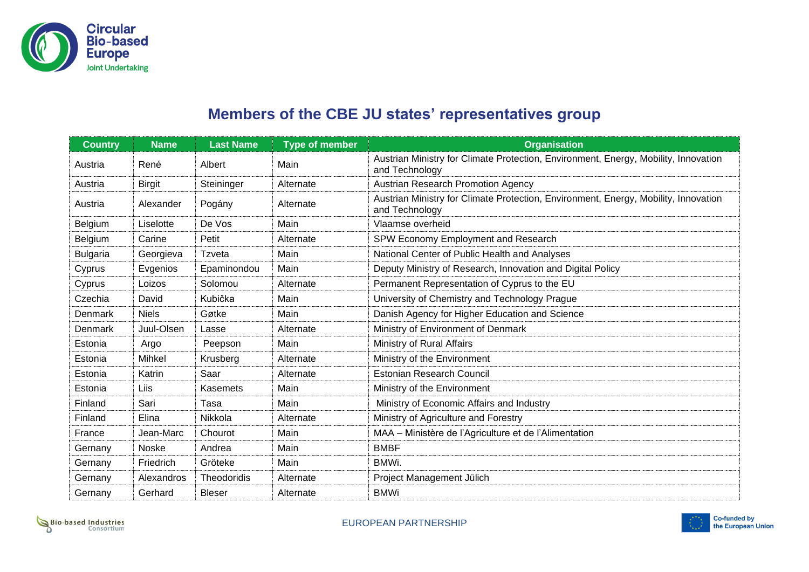

## **Members of the CBE JU states' representatives group**

| <b>Country</b>  | <b>Name</b>   | <b>Last Name</b> | <b>Type of member</b> | <b>Organisation</b>                                                                                   |
|-----------------|---------------|------------------|-----------------------|-------------------------------------------------------------------------------------------------------|
| Austria         | René          | Albert           | Main                  | Austrian Ministry for Climate Protection, Environment, Energy, Mobility, Innovation<br>and Technology |
| Austria         | <b>Birgit</b> | Steininger       | Alternate             | <b>Austrian Research Promotion Agency</b>                                                             |
| Austria         | Alexander     | Pogány           | Alternate             | Austrian Ministry for Climate Protection, Environment, Energy, Mobility, Innovation<br>and Technology |
| Belgium         | Liselotte     | De Vos           | Main                  | Vlaamse overheid                                                                                      |
| Belgium         | Carine        | Petit            | Alternate             | SPW Economy Employment and Research                                                                   |
| <b>Bulgaria</b> | Georgieva     | Tzveta           | Main                  | National Center of Public Health and Analyses                                                         |
| Cyprus          | Evgenios      | Epaminondou      | Main                  | Deputy Ministry of Research, Innovation and Digital Policy                                            |
| Cyprus          | Loizos        | Solomou          | Alternate             | Permanent Representation of Cyprus to the EU                                                          |
| Czechia         | David         | Kubička          | Main                  | University of Chemistry and Technology Prague                                                         |
| Denmark         | <b>Niels</b>  | Gøtke            | Main                  | Danish Agency for Higher Education and Science                                                        |
| Denmark         | Juul-Olsen    | Lasse            | Alternate             | Ministry of Environment of Denmark                                                                    |
| Estonia         | Argo          | Peepson          | Main                  | Ministry of Rural Affairs                                                                             |
| Estonia         | <b>Mihkel</b> | Krusberg         | Alternate             | Ministry of the Environment                                                                           |
| Estonia         | Katrin        | Saar             | Alternate             | <b>Estonian Research Council</b>                                                                      |
| Estonia         | Liis          | <b>Kasemets</b>  | Main                  | Ministry of the Environment                                                                           |
| Finland         | Sari          | Tasa             | Main                  | Ministry of Economic Affairs and Industry                                                             |
| Finland         | Elina         | Nikkola          | Alternate             | Ministry of Agriculture and Forestry                                                                  |
| France          | Jean-Marc     | Chourot          | Main                  | MAA - Ministère de l'Agriculture et de l'Alimentation                                                 |
| Gernany         | Noske         | Andrea           | Main                  | <b>BMBF</b>                                                                                           |
| Gernany         | Friedrich     | Gröteke          | Main                  | BMWi.                                                                                                 |
| Gernany         | Alexandros    | Theodoridis      | Alternate             | Project Management Jülich                                                                             |
| Gernany         | Gerhard       | <b>Bleser</b>    | Alternate             | <b>BMWi</b>                                                                                           |



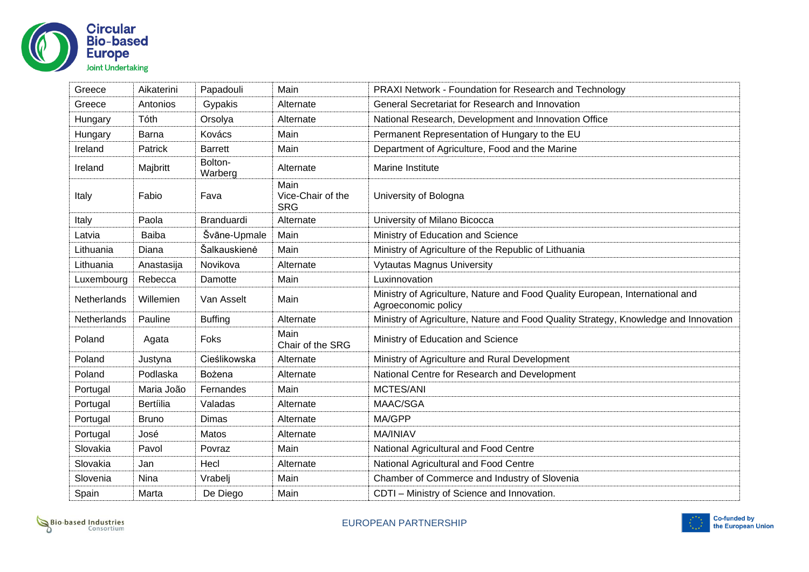

| Greece      | Aikaterini       | Papadouli          | Main                                    | PRAXI Network - Foundation for Research and Technology                                              |
|-------------|------------------|--------------------|-----------------------------------------|-----------------------------------------------------------------------------------------------------|
| Greece      | Antonios         | Gypakis            | Alternate                               | General Secretariat for Research and Innovation                                                     |
| Hungary     | Tóth             | Orsolya            | Alternate                               | National Research, Development and Innovation Office                                                |
| Hungary     | <b>Barna</b>     | Kovács             | Main                                    | Permanent Representation of Hungary to the EU                                                       |
| Ireland     | <b>Patrick</b>   | <b>Barrett</b>     | Main                                    | Department of Agriculture, Food and the Marine                                                      |
| Ireland     | Majbritt         | Bolton-<br>Warberg | Alternate                               | Marine Institute                                                                                    |
| Italy       | Fabio            | Fava               | Main<br>Vice-Chair of the<br><b>SRG</b> | University of Bologna                                                                               |
| Italy       | Paola            | Branduardi         | Alternate                               | University of Milano Bicocca                                                                        |
| Latvia      | <b>Baiba</b>     | Švāne-Upmale       | Main                                    | Ministry of Education and Science                                                                   |
| Lithuania   | Diana            | Šalkauskienė       | Main                                    | Ministry of Agriculture of the Republic of Lithuania                                                |
| Lithuania   | Anastasija       | Novikova           | Alternate                               | <b>Vytautas Magnus University</b>                                                                   |
| Luxembourg  | Rebecca          | Damotte            | Main                                    | Luxinnovation                                                                                       |
| Netherlands | Willemien        | Van Asselt         | Main                                    | Ministry of Agriculture, Nature and Food Quality European, International and<br>Agroeconomic policy |
| Netherlands | Pauline          | <b>Buffing</b>     | Alternate                               | Ministry of Agriculture, Nature and Food Quality Strategy, Knowledge and Innovation                 |
| Poland      | Agata            | Foks               | Main<br>Chair of the SRG                | Ministry of Education and Science                                                                   |
| Poland      | Justyna          | Cieślikowska       | Alternate                               | Ministry of Agriculture and Rural Development                                                       |
| Poland      | Podlaska         | Bożena             | Alternate                               | National Centre for Research and Development                                                        |
| Portugal    | Maria João       | Fernandes          | Main                                    | MCTES/ANI                                                                                           |
| Portugal    | <b>Bertíilia</b> | Valadas            | Alternate                               | MAAC/SGA                                                                                            |
| Portugal    | <b>Bruno</b>     | Dimas              | Alternate                               | MA/GPP                                                                                              |
| Portugal    | José             | <b>Matos</b>       | Alternate                               | <b>MA/INIAV</b>                                                                                     |
| Slovakia    | Pavol            | Povraz             | Main                                    | National Agricultural and Food Centre                                                               |
| Slovakia    | Jan              | Hecl               | Alternate                               | National Agricultural and Food Centre                                                               |
| Slovenia    | Nina             | Vrabelj            | Main                                    | Chamber of Commerce and Industry of Slovenia                                                        |
| Spain       | Marta            | De Diego           | Main                                    | CDTI - Ministry of Science and Innovation.                                                          |

Bio-based Industries